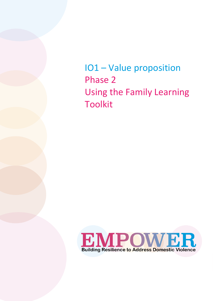IO1 – Value proposition Phase 2 Using the Family Learning Toolkit

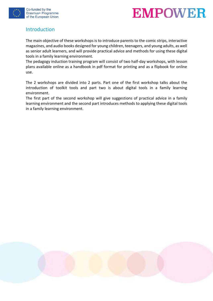



#### Introduction

The main objective of these workshops is to introduce parents to the comic strips, interactive magazines, and audio books designed for young children, teenagers, and young adults, as well as senior adult learners, and will provide practical advice and methods for using these digital tools in a family learning environment.

The pedagogy induction training program will consist of two half-day workshops, with lesson plans available online as a handbook in pdf format for printing and as a flipbook for online use.

The 2 workshops are divided into 2 parts. Part one of the first workshop talks about the introduction of toolkit tools and part two is about digital tools in a family learning environment.

The first part of the second workshop will give suggestions of practical advice in a family learning environment and the second part introduces methods to applying these digital tools in a family learning environment.

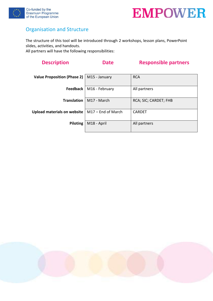



## Organisation and Structure

The structure of this tool will be introduced through 2 workshops, lesson plans, PowerPoint slides, activities, and handouts.

All partners will have the following responsibilities:

# **Description Date Responsible partners**

| Value Proposition (Phase 2) | M15 - January      | <b>RCA</b>            |  |
|-----------------------------|--------------------|-----------------------|--|
|                             |                    |                       |  |
|                             |                    |                       |  |
| Feedback                    | M16 - February     | All partners          |  |
|                             |                    |                       |  |
| <b>Translation</b>          | M17 - March        | RCA; SIC; CARDET; FHB |  |
|                             |                    |                       |  |
|                             |                    |                       |  |
| Upload materials on website | M17 - End of March | <b>CARDET</b>         |  |
|                             |                    |                       |  |
|                             |                    |                       |  |
| Piloting                    | M18 - April        | All partners          |  |
|                             |                    |                       |  |
|                             |                    |                       |  |

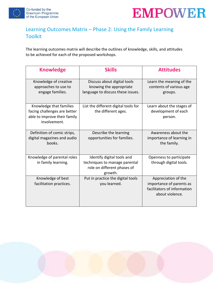



## Learning Outcomes Matrix – Phase 2: Using the Family Learning Toolkit

The learning outcomes matrix will describe the outlines of knowledge, skills, and attitudes to be achieved for each of the proposed workshops.

| <b>Knowledge</b>                                                                                        | <b>Skills</b>                                                                                         | <b>Attitudes</b>                                                                                  |
|---------------------------------------------------------------------------------------------------------|-------------------------------------------------------------------------------------------------------|---------------------------------------------------------------------------------------------------|
| Knowledge of creative<br>approaches to use to<br>engage families.                                       | Discuss about digital tools<br>knowing the appropriate<br>language to discuss these issues.           | Learn the meaning of the<br>contents of various age<br>groups.                                    |
| Knowledge that families<br>facing challenges are better<br>able to improve their family<br>involvement. | List the different digital tools for<br>the different ages.                                           | Learn about the stages of<br>development of each<br>person.                                       |
| Definition of comic strips,<br>digital magazines and audio<br>books.                                    | Describe the learning<br>opportunities for families.                                                  | Awareness about the<br>importance of learning in<br>the family.                                   |
| Knowledge of parental roles<br>in family learning.                                                      | Identify digital tools and<br>techniques to manage parental<br>role on different phases of<br>growth. | Openness to participate<br>through digital tools.                                                 |
| Knowledge of best<br>facilitation practices.                                                            | Put in practice the digital tools<br>you learned.                                                     | Appreciation of the<br>importance of parents as<br>facilitators of information<br>about violence. |